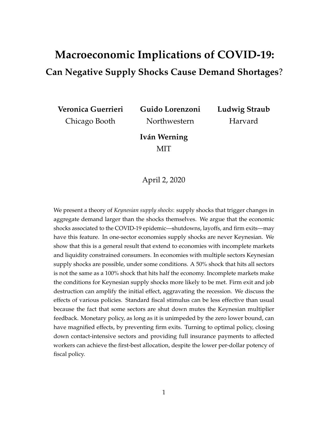# <span id="page-0-0"></span>**Macroeconomic Implications of COVID-19: Can Negative Supply Shocks Cause Demand Shortages**?

**Veronica Guerrieri** Chicago Booth

**Guido Lorenzoni** Northwestern

**Ludwig Straub** Harvard

**Iván Werning** MIT

April 2, 2020

We present a theory of *Keynesian supply shocks*: supply shocks that trigger changes in aggregate demand larger than the shocks themselves. We argue that the economic shocks associated to the COVID-19 epidemic—shutdowns, layoffs, and firm exits—may have this feature. In one-sector economies supply shocks are never Keynesian. We show that this is a general result that extend to economies with incomplete markets and liquidity constrained consumers. In economies with multiple sectors Keynesian supply shocks are possible, under some conditions. A 50% shock that hits all sectors is not the same as a 100% shock that hits half the economy. Incomplete markets make the conditions for Keynesian supply shocks more likely to be met. Firm exit and job destruction can amplify the initial effect, aggravating the recession. We discuss the effects of various policies. Standard fiscal stimulus can be less effective than usual because the fact that some sectors are shut down mutes the Keynesian multiplier feedback. Monetary policy, as long as it is unimpeded by the zero lower bound, can have magnified effects, by preventing firm exits. Turning to optimal policy, closing down contact-intensive sectors and providing full insurance payments to affected workers can achieve the first-best allocation, despite the lower per-dollar potency of fiscal policy.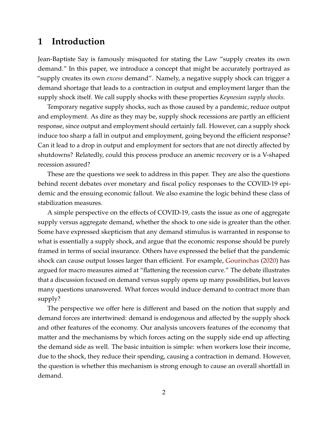## **1 Introduction**

Jean-Baptiste Say is famously misquoted for stating the Law "supply creates its own demand." In this paper, we introduce a concept that might be accurately portrayed as "supply creates its own *excess* demand". Namely, a negative supply shock can trigger a demand shortage that leads to a contraction in output and employment larger than the supply shock itself. We call supply shocks with these properties *Keynesian supply shocks*.

Temporary negative supply shocks, such as those caused by a pandemic, reduce output and employment. As dire as they may be, supply shock recessions are partly an efficient response, since output and employment should certainly fall. However, can a supply shock induce too sharp a fall in output and employment, going beyond the efficient response? Can it lead to a drop in output and employment for sectors that are not directly affected by shutdowns? Relatedly, could this process produce an anemic recovery or is a V-shaped recession assured?

These are the questions we seek to address in this paper. They are also the questions behind recent debates over monetary and fiscal policy responses to the COVID-19 epidemic and the ensuing economic fallout. We also examine the logic behind these class of stabilization measures.

A simple perspective on the effects of COVID-19, casts the issue as one of aggregate supply versus aggregate demand, whether the shock to one side is greater than the other. Some have expressed skepticism that any demand stimulus is warranted in response to what is essentially a supply shock, and argue that the economic response should be purely framed in terms of social insurance. Others have expressed the belief that the pandemic shock can cause output losses larger than efficient. For example, [Gourinchas](#page-35-0) [\(2020\)](#page-35-0) has argued for macro measures aimed at "flattening the recession curve." The debate illustrates that a discussion focused on demand versus supply opens up many possibilities, but leaves many questions unanswered. What forces would induce demand to contract more than supply?

The perspective we offer here is different and based on the notion that supply and demand forces are intertwined: demand is endogenous and affected by the supply shock and other features of the economy. Our analysis uncovers features of the economy that matter and the mechanisms by which forces acting on the supply side end up affecting the demand side as well. The basic intuition is simple: when workers lose their income, due to the shock, they reduce their spending, causing a contraction in demand. However, the question is whether this mechanism is strong enough to cause an overall shortfall in demand.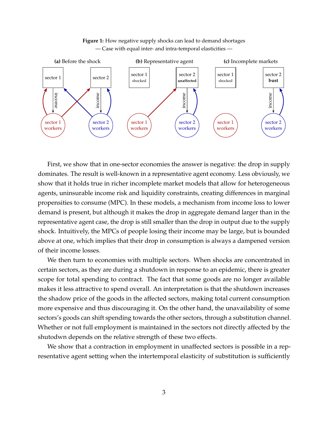<span id="page-2-0"></span>

**Figure 1:** How negative supply shocks can lead to demand shortages — Case with equal inter- and intra-temporal elasticities —

First, we show that in one-sector economies the answer is negative: the drop in supply dominates. The result is well-known in a representative agent economy. Less obviously, we show that it holds true in richer incomplete market models that allow for heterogeneous agents, uninsurable income risk and liquidity constraints, creating differences in marginal propensities to consume (MPC). In these models, a mechanism from income loss to lower demand is present, but although it makes the drop in aggregate demand larger than in the representative agent case, the drop is still smaller than the drop in output due to the supply shock. Intuitively, the MPCs of people losing their income may be large, but is bounded above at one, which implies that their drop in consumption is always a dampened version of their income losses.

We then turn to economies with multiple sectors. When shocks are concentrated in certain sectors, as they are during a shutdown in response to an epidemic, there is greater scope for total spending to contract. The fact that some goods are no longer available makes it less attractive to spend overall. An interpretation is that the shutdown increases the shadow price of the goods in the affected sectors, making total current consumption more expensive and thus discouraging it. On the other hand, the unavailability of some sectors's goods can shift spending towards the other sectors, through a substitution channel. Whether or not full employment is maintained in the sectors not directly affected by the shutodwn depends on the relative strength of these two effects.

We show that a contraction in employment in unaffected sectors is possible in a representative agent setting when the intertemporal elasticity of substitution is sufficiently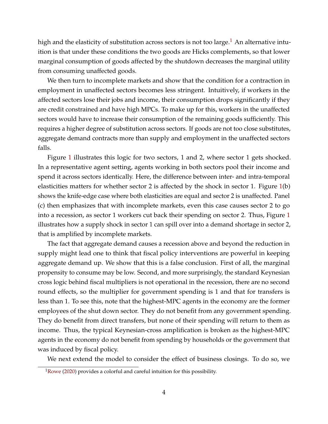high and the elasticity of substitution across sectors is not too large.<sup>[1](#page-0-0)</sup> An alternative intuition is that under these conditions the two goods are Hicks complements, so that lower marginal consumption of goods affected by the shutdown decreases the marginal utility from consuming unaffected goods.

We then turn to incomplete markets and show that the condition for a contraction in employment in unaffected sectors becomes less stringent. Intuitively, if workers in the affected sectors lose their jobs and income, their consumption drops significantly if they are credit constrained and have high MPCs. To make up for this, workers in the unaffected sectors would have to increase their consumption of the remaining goods sufficiently. This requires a higher degree of substitution across sectors. If goods are not too close substitutes, aggregate demand contracts more than supply and employment in the unaffected sectors falls.

Figure [1](#page-2-0) illustrates this logic for two sectors, 1 and 2, where sector 1 gets shocked. In a representative agent setting, agents working in both sectors pool their income and spend it across sectors identically. Here, the difference between inter- and intra-temporal elasticities matters for whether sector 2 is affected by the shock in sector 1. Figure [1\(](#page-2-0)b) shows the knife-edge case where both elasticities are equal and sector 2 is unaffected. Panel (c) then emphasizes that with incomplete markets, even this case causes sector 2 to go into a recession, as sector 1 workers cut back their spending on sector 2. Thus, Figure [1](#page-2-0) illustrates how a supply shock in sector 1 can spill over into a demand shortage in sector 2, that is amplified by incomplete markets.

The fact that aggregate demand causes a recession above and beyond the reduction in supply might lead one to think that fiscal policy interventions are powerful in keeping aggregate demand up. We show that this is a false conclusion. First of all, the marginal propensity to consume may be low. Second, and more surprisingly, the standard Keynesian cross logic behind fiscal multipliers is not operational in the recession, there are no second round effects, so the multiplier for government spending is 1 and that for transfers is less than 1. To see this, note that the highest-MPC agents in the economy are the former employees of the shut down sector. They do not benefit from any government spending. They do benefit from direct transfers, but none of their spending will return to them as income. Thus, the typical Keynesian-cross amplification is broken as the highest-MPC agents in the economy do not benefit from spending by households or the government that was induced by fiscal policy.

We next extend the model to consider the effect of business closings. To do so, we

 $1$ [Rowe](#page-35-1) [\(2020\)](#page-35-1) provides a colorful and careful intuition for this possibility.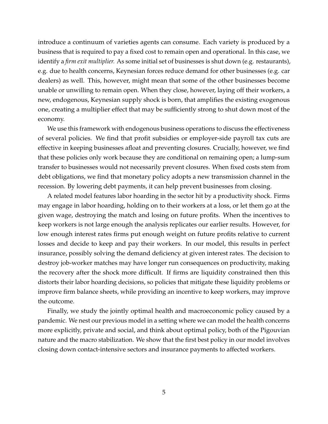introduce a continuum of varieties agents can consume. Each variety is produced by a business that is required to pay a fixed cost to remain open and operational. In this case, we identify a *firm exit multiplier.* As some initial set of businesses is shut down (e.g. restaurants), e.g. due to health concerns, Keynesian forces reduce demand for other businesses (e.g. car dealers) as well. This, however, might mean that some of the other businesses become unable or unwilling to remain open. When they close, however, laying off their workers, a new, endogenous, Keynesian supply shock is born, that amplifies the existing exogenous one, creating a multiplier effect that may be sufficiently strong to shut down most of the economy.

We use this framework with endogenous business operations to discuss the effectiveness of several policies. We find that profit subsidies or employer-side payroll tax cuts are effective in keeping businesses afloat and preventing closures. Crucially, however, we find that these policies only work because they are conditional on remaining open; a lump-sum transfer to businesses would not necessarily prevent closures. When fixed costs stem from debt obligations, we find that monetary policy adopts a new transmission channel in the recession. By lowering debt payments, it can help prevent businesses from closing.

A related model features labor hoarding in the sector hit by a productivity shock. Firms may engage in labor hoarding, holding on to their workers at a loss, or let them go at the given wage, destroying the match and losing on future profits. When the incentives to keep workers is not large enough the analysis replicates our earlier results. However, for low enough interest rates firms put enough weight on future profits relative to current losses and decide to keep and pay their workers. In our model, this results in perfect insurance, possibly solving the demand deficiency at given interest rates. The decision to destroy job-worker matches may have longer run consequences on productivity, making the recovery after the shock more difficult. If firms are liquidity constrained then this distorts their labor hoarding decisions, so policies that mitigate these liquidity problems or improve firm balance sheets, while providing an incentive to keep workers, may improve the outcome.

Finally, we study the jointly optimal health and macroeconomic policy caused by a pandemic. We nest our previous model in a setting where we can model the health concerns more explicitly, private and social, and think about optimal policy, both of the Pigouvian nature and the macro stabilization. We show that the first best policy in our model involves closing down contact-intensive sectors and insurance payments to affected workers.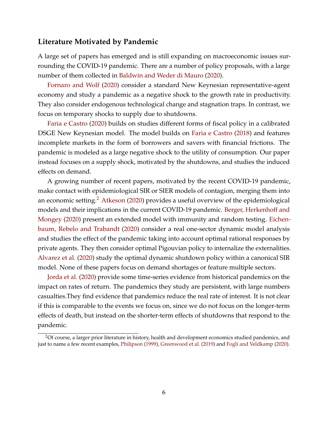#### **Literature Motivated by Pandemic**

A large set of papers has emerged and is still expanding on macroeconomic issues surrounding the COVID-19 pandemic. There are a number of policy proposals, with a large number of them collected in [Baldwin and Weder di Mauro](#page-34-0) [\(2020\)](#page-34-0).

[Fornaro and Wolf](#page-34-1) [\(2020\)](#page-34-1) consider a standard New Keynesian representative-agent economy and study a pandemic as a negative shock to the growth rate in productivity. They also consider endogenous technological change and stagnation traps. In contrast, we focus on temporary shocks to supply due to shutdowns.

[Faria e Castro](#page-34-2) [\(2020\)](#page-34-2) builds on studies different forms of fiscal policy in a calibrated DSGE New Keynesian model. The model builds on [Faria e Castro](#page-34-3) [\(2018\)](#page-34-3) and features incomplete markets in the form of borrowers and savers with financial frictions. The pandemic is modeled as a large negative shock to the utility of consumption. Our paper instead focuses on a supply shock, motivated by the shutdowns, and studies the induced effects on demand.

A growing number of recent papers, motivated by the recent COVID-19 pandemic, make contact with epidemiological SIR or SIER models of contagion, merging them into an economic setting.<sup>[2](#page-0-0)</sup> [Atkeson](#page-34-4) [\(2020\)](#page-34-4) provides a useful overview of the epidemiological models and their implications in the current COVID-19 pandemic. [Berger, Herkenhoff and](#page-34-5) [Mongey](#page-34-5) [\(2020\)](#page-34-5) present an extended model with immunity and random testing. [Eichen](#page-34-6)[baum, Rebelo and Trabandt](#page-34-6) [\(2020\)](#page-34-6) consider a real one-sector dynamic model analysis and studies the effect of the pandemic taking into account optimal rational responses by private agents. They then consider optimal Pigouvian policy to internalize the externalities. [Alvarez et al.](#page-33-0) [\(2020\)](#page-33-0) study the optimal dynamic shutdown policy within a canonical SIR model. None of these papers focus on demand shortages or feature multiple sectors.

[Jorda et al.](#page-35-2) [\(2020\)](#page-35-2) provide some time-series evidence from historical pandemics on the impact on rates of return. The pandemics they study are persistent, with large numbers casualties.They find evidence that pandemics reduce the real rate of interest. It is not clear if this is comparable to the events we focus on, since we do not focus on the longer-term effects of death, but instead on the shorter-term effects of shutdowns that respond to the pandemic.

<sup>&</sup>lt;sup>2</sup>Of course, a larger prior literature in history, health and development economics studied pandemics, and just to name a few recent examples, [Philipson](#page-35-3) [\(1999\)](#page-35-3), [Greenwood et al.](#page-35-4) [\(2019\)](#page-35-4) and [Fogli and Veldkamp](#page-34-7) [\(2020\)](#page-34-7).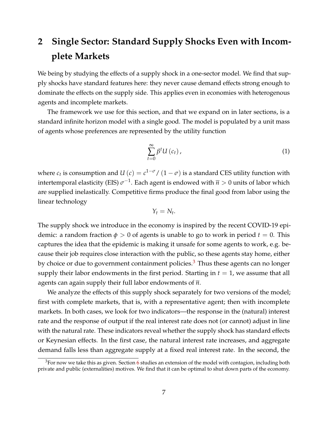# <span id="page-6-1"></span>**2 Single Sector: Standard Supply Shocks Even with Incomplete Markets**

We being by studying the effects of a supply shock in a one-sector model. We find that supply shocks have standard features here: they never cause demand effects strong enough to dominate the effects on the supply side. This applies even in economies with heterogenous agents and incomplete markets.

The framework we use for this section, and that we expand on in later sections, is a standard infinite horizon model with a single good. The model is populated by a unit mass of agents whose preferences are represented by the utility function

<span id="page-6-0"></span>
$$
\sum_{t=0}^{\infty} \beta^t U\left(c_t\right),\tag{1}
$$

where  $c_t$  is consumption and  $U(c) = c^{1-\sigma}/(1-\sigma)$  is a standard CES utility function with intertemporal elasticity (EIS)  $\sigma^{-1}.$  Each agent is endowed with  $\overline{n}>0$  units of labor which are supplied inelastically. Competitive firms produce the final good from labor using the linear technology

$$
Y_t=N_t.
$$

The supply shock we introduce in the economy is inspired by the recent COVID-19 epidemic: a random fraction  $\phi > 0$  of agents is unable to go to work in period  $t = 0$ . This captures the idea that the epidemic is making it unsafe for some agents to work, e.g. because their job requires close interaction with the public, so these agents stay home, either by choice or due to government containment policies.<sup>[3](#page-0-0)</sup> Thus these agents can no longer supply their labor endowments in the first period. Starting in  $t = 1$ , we assume that all agents can again supply their full labor endowments of *n*.

We analyze the effects of this supply shock separately for two versions of the model; first with complete markets, that is, with a representative agent; then with incomplete markets. In both cases, we look for two indicators—the response in the (natural) interest rate and the response of output if the real interest rate does not (or cannot) adjust in line with the natural rate. These indicators reveal whether the supply shock has standard effects or Keynesian effects. In the first case, the natural interest rate increases, and aggregate demand falls less than aggregate supply at a fixed real interest rate. In the second, the

<sup>&</sup>lt;sup>3</sup>For now we take this as given. Section [6](#page-29-0) studies an extension of the model with contagion, including both private and public (externalities) motives. We find that it can be optimal to shut down parts of the economy.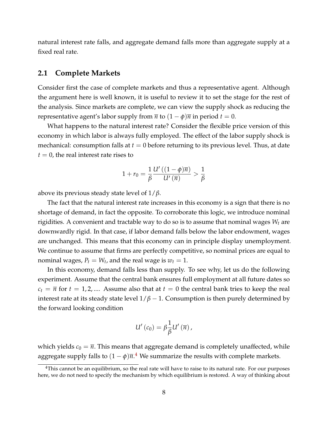natural interest rate falls, and aggregate demand falls more than aggregate supply at a fixed real rate.

#### **2.1 Complete Markets**

Consider first the case of complete markets and thus a representative agent. Although the argument here is well known, it is useful to review it to set the stage for the rest of the analysis. Since markets are complete, we can view the supply shock as reducing the representative agent's labor supply from  $\overline{n}$  to  $(1 - \phi)\overline{n}$  in period  $t = 0$ .

What happens to the natural interest rate? Consider the flexible price version of this economy in which labor is always fully employed. The effect of the labor supply shock is mechanical: consumption falls at  $t = 0$  before returning to its previous level. Thus, at date  $t = 0$ , the real interest rate rises to

$$
1 + r_0 = \frac{1}{\beta} \frac{U'((1-\phi)\overline{n})}{U'(\overline{n})} > \frac{1}{\beta}
$$

above its previous steady state level of 1/*β*.

The fact that the natural interest rate increases in this economy is a sign that there is no shortage of demand, in fact the opposite. To corroborate this logic, we introduce nominal rigidities. A convenient and tractable way to do so is to assume that nominal wages *W<sup>t</sup>* are downwardly rigid. In that case, if labor demand falls below the labor endowment, wages are unchanged. This means that this economy can in principle display unemployment. We continue to assume that firms are perfectly competitive, so nominal prices are equal to nominal wages,  $P_t = W_t$ , and the real wage is  $w_t = 1$ .

In this economy, demand falls less than supply. To see why, let us do the following experiment. Assume that the central bank ensures full employment at all future dates so  $c_t = \overline{n}$  for  $t = 1, 2, ...$  Assume also that at  $t = 0$  the central bank tries to keep the real interest rate at its steady state level  $1/\beta - 1$ . Consumption is then purely determined by the forward looking condition

$$
U'(c_0)=\beta\frac{1}{\beta}U'\left(\overline{n}\right),\,
$$

which yields  $c_0 = \overline{n}$ . This means that aggregate demand is completely unaffected, while aggregate supply falls to  $(1 - \phi)\overline{n}.^4$  $(1 - \phi)\overline{n}.^4$  We summarize the results with complete markets.

<sup>&</sup>lt;sup>4</sup>This cannot be an equilibrium, so the real rate will have to raise to its natural rate. For our purposes here, we do not need to specify the mechanism by which equilibrium is restored. A way of thinking about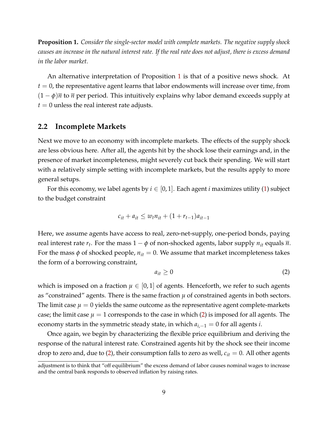<span id="page-8-0"></span>**Proposition 1.** *Consider the single-sector model with complete markets. The negative supply shock causes an increase in the natural interest rate. If the real rate does not adjust, there is excess demand in the labor market.*

An alternative interpretation of Proposition [1](#page-8-0) is that of a positive news shock. At  $t = 0$ , the representative agent learns that labor endowments will increase over time, from  $(1 - \phi)\overline{n}$  to  $\overline{n}$  per period. This intuitively explains why labor demand exceeds supply at  $t = 0$  unless the real interest rate adjusts.

#### **2.2 Incomplete Markets**

Next we move to an economy with incomplete markets. The effects of the supply shock are less obvious here. After all, the agents hit by the shock lose their earnings and, in the presence of market incompleteness, might severely cut back their spending. We will start with a relatively simple setting with incomplete markets, but the results apply to more general setups.

For this economy, we label agents by  $i \in [0,1]$ . Each agent *i* maximizes utility [\(1\)](#page-6-0) subject to the budget constraint

$$
c_{it} + a_{it} \le w_t n_{it} + (1 + r_{t-1}) a_{it-1}
$$

Here, we assume agents have access to real, zero-net-supply, one-period bonds, paying real interest rate  $r_t$ . For the mass  $1 - \phi$  of non-shocked agents, labor supply  $n_{it}$  equals  $\overline{n}$ . For the mass  $\phi$  of shocked people,  $n_{it} = 0$ . We assume that market incompleteness takes the form of a borrowing constraint,

<span id="page-8-1"></span>
$$
a_{it} \ge 0 \tag{2}
$$

which is imposed on a fraction  $\mu \in [0,1]$  of agents. Henceforth, we refer to such agents as "constrained" agents. There is the same fraction  $\mu$  of constrained agents in both sectors. The limit case  $\mu = 0$  yields the same outcome as the representative agent complete-markets case; the limit case  $\mu = 1$  corresponds to the case in which [\(2\)](#page-8-1) is imposed for all agents. The economy starts in the symmetric steady state, in which *ai*,−<sup>1</sup> = 0 for all agents *i*.

Once again, we begin by characterizing the flexible price equilibrium and deriving the response of the natural interest rate. Constrained agents hit by the shock see their income drop to zero and, due to [\(2\)](#page-8-1), their consumption falls to zero as well, *cit* = 0. All other agents

adjustment is to think that "off equilibrium" the excess demand of labor causes nominal wages to increase and the central bank responds to observed inflation by raising rates.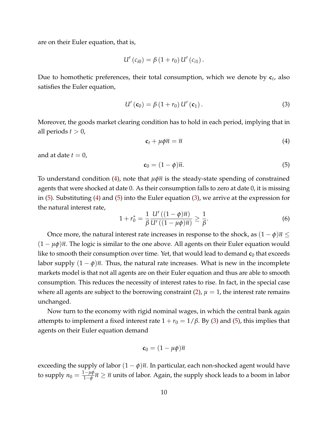are on their Euler equation, that is,

$$
U'(c_{i0}) = \beta (1 + r_0) U'(c_{i1}).
$$

Due to homothetic preferences, their total consumption, which we denote by **c***<sup>t</sup>* , also satisfies the Euler equation,

<span id="page-9-2"></span>
$$
U'(\mathbf{c}_0) = \beta (1 + r_0) U'(\mathbf{c}_1).
$$
 (3)

Moreover, the goods market clearing condition has to hold in each period, implying that in all periods  $t > 0$ ,

<span id="page-9-0"></span>
$$
\mathbf{c}_t + \mu \phi \overline{n} = \overline{n} \tag{4}
$$

and at date  $t = 0$ ,

<span id="page-9-1"></span>
$$
\mathbf{c}_0 = (1 - \phi)\overline{n}.\tag{5}
$$

To understand condition [\(4\)](#page-9-0), note that *µφn* is the steady-state spending of constrained agents that were shocked at date 0. As their consumption falls to zero at date 0, it is missing in [\(5\)](#page-9-1). Substituting [\(4\)](#page-9-0) and [\(5\)](#page-9-1) into the Euler equation [\(3\)](#page-9-2), we arrive at the expression for the natural interest rate,

$$
1 + r_0^* = \frac{1}{\beta} \frac{U'((1 - \phi)\overline{n})}{U'((1 - \mu\phi)\overline{n})} \ge \frac{1}{\beta}.
$$
 (6)

Once more, the natural interest rate increases in response to the shock, as  $(1 - \phi)\overline{n} \leq$  $(1 - \mu \phi) \overline{n}$ . The logic is similar to the one above. All agents on their Euler equation would like to smooth their consumption over time. Yet, that would lead to demand  $c_0$  that exceeds labor supply  $(1 - \phi)\overline{n}$ . Thus, the natural rate increases. What is new in the incomplete markets model is that not all agents are on their Euler equation and thus are able to smooth consumption. This reduces the necessity of interest rates to rise. In fact, in the special case where all agents are subject to the borrowing constraint  $(2)$ ,  $\mu = 1$ , the interest rate remains unchanged.

Now turn to the economy with rigid nominal wages, in which the central bank again attempts to implement a fixed interest rate  $1 + r_0 = 1/\beta$ . By [\(3\)](#page-9-2) and [\(5\)](#page-9-1), this implies that agents on their Euler equation demand

$$
\mathbf{c}_0 = (1 - \mu \phi) \overline{n}
$$

exceeding the supply of labor  $(1 - \phi)\overline{n}$ . In particular, each non-shocked agent would have to supply  $n_0 = \frac{1-\mu\phi}{1-\phi}$ 1−*φ n* ≥ *n* units of labor. Again, the supply shock leads to a boom in labor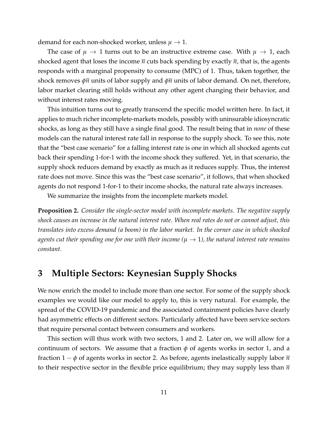demand for each non-shocked worker, unless  $\mu \to 1$ .

The case of  $\mu \to 1$  turns out to be an instructive extreme case. With  $\mu \to 1$ , each shocked agent that loses the income  $\overline{n}$  cuts back spending by exactly  $\overline{n}$ , that is, the agents responds with a marginal propensity to consume (MPC) of 1. Thus, taken together, the shock removes *φn* units of labor supply and *φn* units of labor demand. On net, therefore, labor market clearing still holds without any other agent changing their behavior, and without interest rates moving.

This intuition turns out to greatly transcend the specific model written here. In fact, it applies to much richer incomplete-markets models, possibly with uninsurable idiosyncratic shocks, as long as they still have a single final good. The result being that in *none* of these models can the natural interest rate fall in response to the supply shock. To see this, note that the "best case scenario" for a falling interest rate is one in which all shocked agents cut back their spending 1-for-1 with the income shock they suffered. Yet, in that scenario, the supply shock reduces demand by exactly as much as it reduces supply. Thus, the interest rate does not move. Since this was the "best case scenario", it follows, that when shocked agents do not respond 1-for-1 to their income shocks, the natural rate always increases.

We summarize the insights from the incomplete markets model.

**Proposition 2.** *Consider the single-sector model with incomplete markets. The negative supply shock causes an increase in the natural interest rate. When real rates do not or cannot adjust, this translates into excess demand (a boom) in the labor market. In the corner case in which shocked agents cut their spending one for one with their income (* $\mu \rightarrow 1$ *), the natural interest rate remains constant.*

## <span id="page-10-0"></span>**3 Multiple Sectors: Keynesian Supply Shocks**

We now enrich the model to include more than one sector. For some of the supply shock examples we would like our model to apply to, this is very natural. For example, the spread of the COVID-19 pandemic and the associated containment policies have clearly had asymmetric effects on different sectors. Particularly affected have been service sectors that require personal contact between consumers and workers.

This section will thus work with two sectors, 1 and 2. Later on, we will allow for a continuum of sectors. We assume that a fraction  $\phi$  of agents works in sector 1, and a fraction 1 − *φ* of agents works in sector 2. As before, agents inelastically supply labor *n* to their respective sector in the flexible price equilibrium; they may supply less than  $\bar{n}$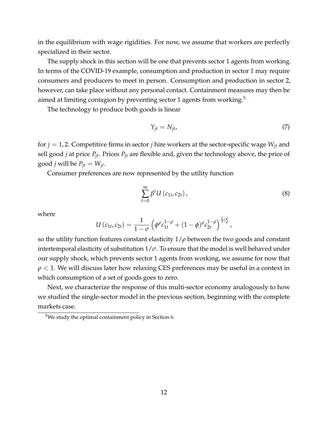in the equilibrium with wage rigidities. For now, we assume that workers are perfectly specialized in their sector.

The supply shock in this section will be one that prevents sector 1 agents from working. In terms of the COVID-19 example, consumption and production in sector 1 may require consumers and producers to meet in person. Consumption and production in sector 2, however, can take place without any personal contact. Containment measures may then be aimed at limiting contagion by preventing sector 1 agents from working.<sup>[5](#page-0-0)</sup>

The technology to produce both goods is linear

<span id="page-11-0"></span>
$$
Y_{jt} = N_{jt},\tag{7}
$$

for *j* = 1, 2. Competitive firms in sector *j* hire workers at the sector-specific wage *Wjt* and sell good *j* at price *Pjt*. Prices *Pjt* are flexible and, given the technology above, the price of good *j* will be  $P_{it} = W_{it}$ .

Consumer preferences are now represented by the utility function

<span id="page-11-1"></span>
$$
\sum_{t=0}^{\infty} \beta^t U\left(c_{1t}, c_{2t}\right),\tag{8}
$$

where

$$
U(c_{1t},c_{2t})=\frac{1}{1-\sigma}\left(\phi^{\rho}c_{1t}^{1-\rho}+(1-\phi)^{\rho}c_{2t}^{1-\rho}\right)^{\frac{1-\sigma}{1-\rho}},
$$

so the utility function features constant elasticity  $1/\rho$  between the two goods and constant intertemporal elasticity of substitution  $1/\sigma$ . To ensure that the model is well behaved under our supply shock, which prevents sector 1 agents from working, we assume for now that *ρ* < 1. We will discuss later how relaxing CES preferences may be useful in a context in which consumption of a set of goods goes to zero.

Next, we characterize the response of this multi-sector economy analogously to how we studied the single-sector model in the previous section, beginning with the complete markets case.

 $5$ We study the optimal containment policy in Section [6.](#page-29-0)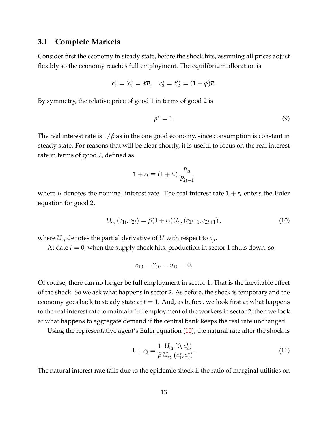#### **3.1 Complete Markets**

Consider first the economy in steady state, before the shock hits, assuming all prices adjust flexibly so the economy reaches full employment. The equilibrium allocation is

$$
c_1^* = Y_1^* = \phi \overline{n}
$$
,  $c_2^* = Y_2^* = (1 - \phi)\overline{n}$ .

By symmetry, the relative price of good 1 in terms of good 2 is

$$
p^* = 1. \tag{9}
$$

The real interest rate is  $1/\beta$  as in the one good economy, since consumption is constant in steady state. For reasons that will be clear shortly, it is useful to focus on the real interest rate in terms of good 2, defined as

$$
1 + r_t \equiv (1 + i_t) \frac{P_{2t}}{P_{2t+1}}
$$

where  $i_t$  denotes the nominal interest rate. The real interest rate  $1 + r_t$  enters the Euler equation for good 2,

<span id="page-12-0"></span>
$$
U_{c_2}(c_{1t}, c_{2t}) = \beta(1+r_t)U_{c_2}(c_{1t+1}, c_{2t+1}),
$$
\n(10)

where  $U_{c_j}$  denotes the partial derivative of  $U$  with respect to  $c_{jt}$ .

At date  $t = 0$ , when the supply shock hits, production in sector 1 shuts down, so

$$
c_{10} = Y_{10} = n_{10} = 0.
$$

Of course, there can no longer be full employment in sector 1. That is the inevitable effect of the shock. So we ask what happens in sector 2. As before, the shock is temporary and the economy goes back to steady state at  $t = 1$ . And, as before, we look first at what happens to the real interest rate to maintain full employment of the workers in sector 2; then we look at what happens to aggregate demand if the central bank keeps the real rate unchanged.

Using the representative agent's Euler equation [\(10\)](#page-12-0), the natural rate after the shock is

<span id="page-12-1"></span>
$$
1 + r_0 = \frac{1}{\beta} \frac{U_{c_2} (0, c_2^*)}{U_{c_2} (c_1^*, c_2^*)}.
$$
\n(11)

The natural interest rate falls due to the epidemic shock if the ratio of marginal utilities on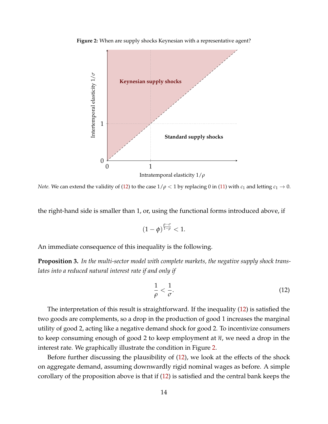

<span id="page-13-1"></span>**Figure 2:** When are supply shocks Keynesian with a representative agent?

*Note.* We can extend the validity of [\(12\)](#page-13-0) to the case  $1/\rho < 1$  by replacing 0 in [\(11\)](#page-12-1) with  $c_1$  and letting  $c_1 \to 0$ .

the right-hand side is smaller than 1, or, using the functional forms introduced above, if

$$
(1-\phi)^{\frac{\rho-\sigma}{1-\rho}}<1.
$$

An immediate consequence of this inequality is the following.

<span id="page-13-2"></span>**Proposition 3.** *In the multi-sector model with complete markets, the negative supply shock translates into a reduced natural interest rate if and only if*

<span id="page-13-0"></span>
$$
\frac{1}{\rho} < \frac{1}{\sigma}.\tag{12}
$$

The interpretation of this result is straightforward. If the inequality [\(12\)](#page-13-0) is satisfied the two goods are complements, so a drop in the production of good 1 increases the marginal utility of good 2, acting like a negative demand shock for good 2. To incentivize consumers to keep consuming enough of good 2 to keep employment at  $\overline{n}$ , we need a drop in the interest rate. We graphically illustrate the condition in Figure [2.](#page-13-1)

Before further discussing the plausibility of [\(12\)](#page-13-0), we look at the effects of the shock on aggregate demand, assuming downwardly rigid nominal wages as before. A simple corollary of the proposition above is that if [\(12\)](#page-13-0) is satisfied and the central bank keeps the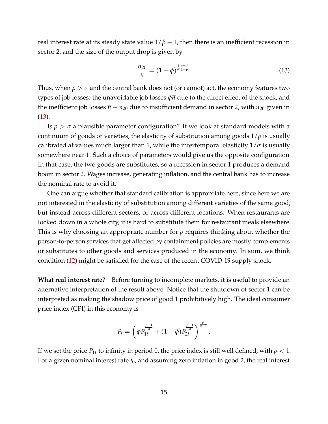real interest rate at its steady state value  $1/\beta - 1$ , then there is an inefficient recession in sector 2, and the size of the output drop is given by

<span id="page-14-0"></span>
$$
\frac{n_{20}}{\overline{n}} = (1 - \phi)^{\frac{1}{\sigma} \frac{\rho - \sigma}{1 - \rho}}.
$$
\n(13)

Thus, when  $\rho > \sigma$  and the central bank does not (or cannot) act, the economy features two types of job losses: the unavoidable job losses *φn* due to the direct effect of the shock, and the inefficient job losses  $\bar{n} - n_{20}$  due to insufficient demand in sector 2, with  $n_{20}$  given in [\(13\)](#page-14-0).

Is  $\rho > \sigma$  a plausible parameter configuration? If we look at standard models with a continuum of goods or varieties, the elasticity of substitution among goods 1/*ρ* is usually calibrated at values much larger than 1, while the intertemporal elasticity  $1/\sigma$  is usually somewhere near 1. Such a choice of parameters would give us the opposite configuration. In that case, the two goods are substitutes, so a recession in sector 1 produces a demand boom in sector 2. Wages increase, generating inflation, and the central bank has to increase the nominal rate to avoid it.

One can argue whether that standard calibration is appropriate here, since here we are not interested in the elasticity of substitution among different varieties of the same good, but instead across different sectors, or across different locations. When restaurants are locked down in a whole city, it is hard to substitute them for restaurant meals elsewhere. This is why choosing an appropriate number for *ρ* requires thinking about whether the person-to-person services that get affected by containment policies are mostly complements or substitutes to other goods and services produced in the economy. In sum, we think condition [\(12\)](#page-13-0) might be satisfied for the case of the recent COVID-19 supply shock.

**What real interest rate?** Before turning to incomplete markets, it is useful to provide an alternative interpretation of the result above. Notice that the shutdown of sector 1 can be interpreted as making the shadow price of good 1 prohibitively high. The ideal consumer price index (CPI) in this economy is

$$
P_t = \left(\phi P_{1t}^{\frac{\rho-1}{\rho}} + (1-\phi) P_{2t}^{\frac{\rho-1}{\rho}}\right)^{\frac{\rho}{\rho-1}}.
$$

If we set the price  $P_{1t}$  to infinity in period 0, the price index is still well defined, with  $\rho < 1$ . For a given nominal interest rate  $i_0$ , and assuming zero inflation in good 2, the real interest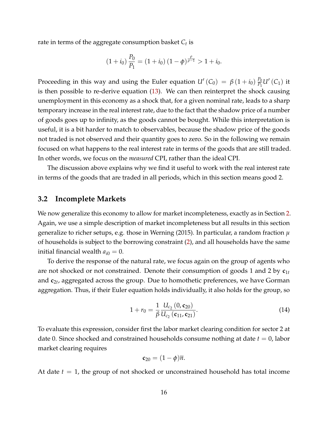rate in terms of the aggregate consumption basket *C<sup>t</sup>* is

$$
(1+i_0)\frac{P_0}{P_1} = (1+i_0)\left(1-\phi\right)^{\frac{\rho}{\rho-1}} > 1+i_0.
$$

Proceeding in this way and using the Euler equation  $U^{\prime} \left( C_0 \right) \, = \, \beta \, (1+i_0) \, \frac{P_0}{P_1}$  $\frac{P_0}{P_1}U'\left(C_1\right)$  it is then possible to re-derive equation [\(13\)](#page-14-0). We can then reinterpret the shock causing unemployment in this economy as a shock that, for a given nominal rate, leads to a sharp temporary increase in the real interest rate, due to the fact that the shadow price of a number of goods goes up to infinity, as the goods cannot be bought. While this interpretation is useful, it is a bit harder to match to observables, because the shadow price of the goods not traded is not observed and their quantity goes to zero. So in the following we remain focused on what happens to the real interest rate in terms of the goods that are still traded. In other words, we focus on the *measured* CPI, rather than the ideal CPI.

The discussion above explains why we find it useful to work with the real interest rate in terms of the goods that are traded in all periods, which in this section means good 2.

#### <span id="page-15-1"></span>**3.2 Incomplete Markets**

We now generalize this economy to allow for market incompleteness, exactly as in Section [2.](#page-6-1) Again, we use a simple description of market incompleteness but all results in this section generalize to richer setups, e.g. those in Werning (2015). In particular, a random fraction *µ* of households is subject to the borrowing constraint [\(2\)](#page-8-1), and all households have the same initial financial wealth  $a_{i0} = 0$ .

To derive the response of the natural rate, we focus again on the group of agents who are not shocked or not constrained. Denote their consumption of goods 1 and 2 by  $c_{1t}$ and  ${\mathbf c}_{2t}$ , aggregated across the group. Due to homothetic preferences, we have Gorman aggregation. Thus, if their Euler equation holds individually, it also holds for the group, so

<span id="page-15-0"></span>
$$
1 + r_0 = \frac{1}{\beta} \frac{U_{c_2} (0, \mathbf{c}_{20})}{U_{c_2} (\mathbf{c}_{11}, \mathbf{c}_{21})}.
$$
 (14)

To evaluate this expression, consider first the labor market clearing condition for sector 2 at date 0. Since shocked and constrained households consume nothing at date *t* = 0, labor market clearing requires

$$
\mathbf{c}_{20}=(1-\phi)\overline{n}.
$$

At date *t* = 1, the group of not shocked or unconstrained household has total income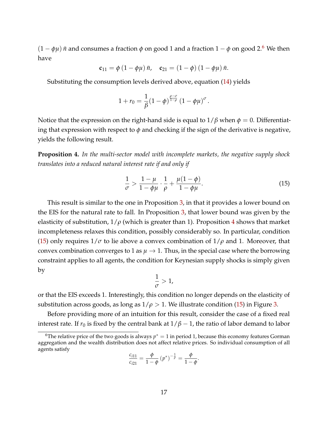$(1 - \phi\mu)$  *ñ* and consumes a fraction  $\phi$  on good 1 and a fraction  $1 - \phi$  on good 2.<sup>[6](#page-0-0)</sup> We then have

$$
\mathbf{c}_{11} = \phi (1 - \phi \mu) \bar{n}, \quad \mathbf{c}_{21} = (1 - \phi) (1 - \phi \mu) \bar{n}.
$$

Substituting the consumption levels derived above, equation [\(14\)](#page-15-0) yields

$$
1+r_0=\frac{1}{\beta}(1-\phi)^{\frac{\rho-\sigma}{1-\rho}}\left(1-\phi\mu\right)^\sigma.
$$

Notice that the expression on the right-hand side is equal to  $1/\beta$  when  $\phi = 0$ . Differentiating that expression with respect to  $\phi$  and checking if the sign of the derivative is negative, yields the following result.

<span id="page-16-0"></span>**Proposition 4.** *In the multi-sector model with incomplete markets, the negative supply shock translates into a reduced natural interest rate if and only if*

<span id="page-16-1"></span>
$$
\frac{1}{\sigma} > \frac{1-\mu}{1-\phi\mu} \cdot \frac{1}{\rho} + \frac{\mu(1-\phi)}{1-\phi\mu}.\tag{15}
$$

This result is similar to the one in Proposition [3,](#page-13-2) in that it provides a lower bound on the EIS for the natural rate to fall. In Proposition [3,](#page-13-2) that lower bound was given by the elasticity of substitution,  $1/\rho$  (which is greater than 1). Proposition [4](#page-16-0) shows that market incompleteness relaxes this condition, possibly considerably so. In particular, condition [\(15\)](#page-16-1) only requires  $1/\sigma$  to lie above a convex combination of  $1/\rho$  and 1. Moreover, that convex combination converges to 1 as  $\mu \to 1$ . Thus, in the special case where the borrowing constraint applies to all agents, the condition for Keynesian supply shocks is simply given by

$$
\frac{1}{\sigma} > 1,
$$

or that the EIS exceeds 1. Interestingly, this condition no longer depends on the elasticity of substitution across goods, as long as  $1/\rho > 1$ . We illustrate condition [\(15\)](#page-16-1) in Figure [3.](#page-17-0)

Before providing more of an intuition for this result, consider the case of a fixed real interest rate. If  $r_0$  is fixed by the central bank at  $1/\beta - 1$ , the ratio of labor demand to labor

$$
\frac{c_{i11}}{c_{i21}} = \frac{\phi}{1-\phi} (p^*)^{-\frac{1}{\rho}} = \frac{\phi}{1-\phi}.
$$

<sup>&</sup>lt;sup>6</sup>The relative price of the two goods is always  $p^* = 1$  in period 1, because this economy features Gorman aggregation and the wealth distribution does not affect relative prices. So individual consumption of all agents satisfy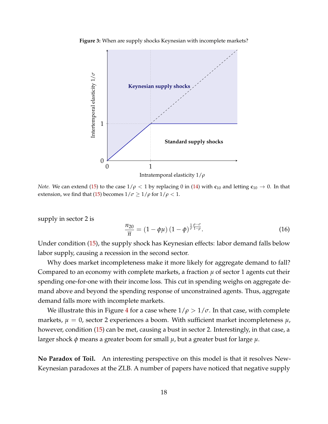

<span id="page-17-0"></span>**Figure 3:** When are supply shocks Keynesian with incomplete markets?

*Note.* We can extend [\(15\)](#page-16-1) to the case  $1/\rho < 1$  by replacing 0 in [\(14\)](#page-15-0) with  $c_{10}$  and letting  $c_{10} \to 0$ . In that extension, we find that [\(15\)](#page-16-1) becomes  $1/\sigma \ge 1/\rho$  for  $1/\rho < 1$ .

supply in sector 2 is

<span id="page-17-1"></span>
$$
\frac{n_{20}}{\overline{n}} = (1 - \phi\mu) (1 - \phi)^{\frac{1}{\sigma} \frac{\rho - \sigma}{1 - \rho}}.
$$
\n(16)

Under condition [\(15\)](#page-16-1), the supply shock has Keynesian effects: labor demand falls below labor supply, causing a recession in the second sector.

Why does market incompleteness make it more likely for aggregate demand to fall? Compared to an economy with complete markets, a fraction  $\mu$  of sector 1 agents cut their spending one-for-one with their income loss. This cut in spending weighs on aggregate demand above and beyond the spending response of unconstrained agents. Thus, aggregate demand falls more with incomplete markets.

We illustrate this in Figure [4](#page-18-0) for a case where  $1/\rho > 1/\sigma$ . In that case, with complete markets,  $\mu = 0$ , sector 2 experiences a boom. With sufficient market incompleteness  $\mu$ , however, condition [\(15\)](#page-16-1) can be met, causing a bust in sector 2. Interestingly, in that case, a larger shock *φ* means a greater boom for small *µ*, but a greater bust for large *µ*.

**No Paradox of Toil.** An interesting perspective on this model is that it resolves New-Keynesian paradoxes at the ZLB. A number of papers have noticed that negative supply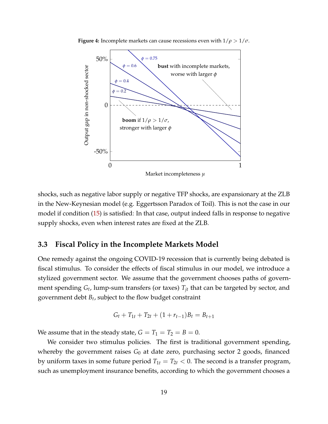<span id="page-18-0"></span>

**Figure 4:** Incomplete markets can cause recessions even with  $1/\rho > 1/\sigma$ .

shocks, such as negative labor supply or negative TFP shocks, are expansionary at the ZLB in the New-Keynesian model (e.g. Eggertsson Paradox of Toil). This is not the case in our model if condition [\(15\)](#page-16-1) is satisfied: In that case, output indeed falls in response to negative supply shocks, even when interest rates are fixed at the ZLB.

#### <span id="page-18-1"></span>**3.3 Fiscal Policy in the Incomplete Markets Model**

One remedy against the ongoing COVID-19 recession that is currently being debated is fiscal stimulus. To consider the effects of fiscal stimulus in our model, we introduce a stylized government sector. We assume that the government chooses paths of government spending *G<sup>t</sup>* , lump-sum transfers (or taxes) *Tjt* that can be targeted by sector, and government debt *B<sup>t</sup>* , subject to the flow budget constraint

$$
G_t + T_{1t} + T_{2t} + (1 + r_{t-1})B_t = B_{t+1}
$$

We assume that in the steady state,  $G = T_1 = T_2 = B = 0$ .

We consider two stimulus policies. The first is traditional government spending, whereby the government raises  $G_0$  at date zero, purchasing sector 2 goods, financed by uniform taxes in some future period  $T_{1t} = T_{2t} < 0$ . The second is a transfer program, such as unemployment insurance benefits, according to which the government chooses a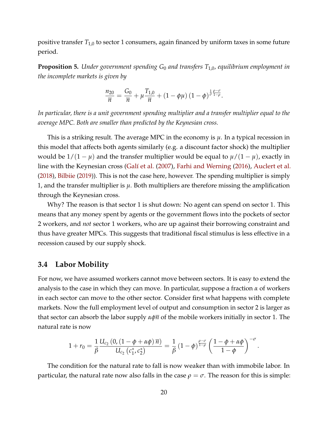positive transfer *T*1,0 to sector 1 consumers, again financed by uniform taxes in some future period.

**Proposition 5.** *Under government spending G*<sup>0</sup> *and transfers T*1,0*, equilibrium employment in the incomplete markets is given by*

$$
\frac{n_{20}}{\overline{n}} = \frac{G_0}{\overline{n}} + \mu \frac{T_{1,0}}{\overline{n}} + (1 - \phi \mu) (1 - \phi)^{\frac{1}{\sigma} \frac{\rho - \sigma}{1 - \rho}}.
$$

*In particular, there is a unit government spending multiplier and a transfer multiplier equal to the average MPC. Both are smaller than predicted by the Keynesian cross.*

This is a striking result. The average MPC in the economy is *µ*. In a typical recession in this model that affects both agents similarly (e.g. a discount factor shock) the multiplier would be  $1/(1 - \mu)$  and the transfer multiplier would be equal to  $\mu/(1 - \mu)$ , exactly in line with the Keynesian cross [\(Galí et al.](#page-35-5) [\(2007\)](#page-35-5), [Farhi and Werning](#page-34-8) [\(2016\)](#page-34-8), [Auclert et al.](#page-34-9) [\(2018\)](#page-34-9), [Bilbiie](#page-34-10) [\(2019\)](#page-34-10)). This is not the case here, however. The spending multiplier is simply 1, and the transfer multiplier is *µ*. Both multipliers are therefore missing the amplification through the Keynesian cross.

Why? The reason is that sector 1 is shut down: No agent can spend on sector 1. This means that any money spent by agents or the government flows into the pockets of sector 2 workers, and *not* sector 1 workers, who are up against their borrowing constraint and thus have greater MPCs. This suggests that traditional fiscal stimulus is less effective in a recession caused by our supply shock.

#### **3.4 Labor Mobility**

For now, we have assumed workers cannot move between sectors. It is easy to extend the analysis to the case in which they can move. In particular, suppose a fraction *α* of workers in each sector can move to the other sector. Consider first what happens with complete markets. Now the full employment level of output and consumption in sector 2 is larger as that sector can absorb the labor supply *αφn* of the mobile workers initially in sector 1. The natural rate is now

$$
1 + r_0 = \frac{1}{\beta} \frac{U_{c_2} (0, (1 - \phi + \alpha \phi) \overline{n})}{U_{c_2} (c_1^*, c_2^*)} = \frac{1}{\beta} (1 - \phi)^{\frac{\rho - \sigma}{1 - \rho}} \left( \frac{1 - \phi + \alpha \phi}{1 - \phi} \right)^{-\sigma}.
$$

The condition for the natural rate to fall is now weaker than with immobile labor. In particular, the natural rate now also falls in the case  $\rho = \sigma$ . The reason for this is simple: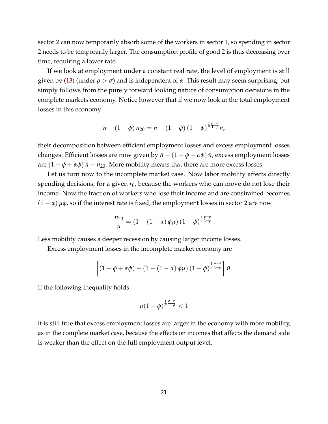sector 2 can now temporarily absorb some of the workers in sector 1, so spending in sector 2 needs to be temporarily larger. The consumption profile of good 2 is thus decreasing over time, requiring a lower rate.

If we look at employment under a constant real rate, the level of employment is still given by [\(13\)](#page-14-0) (under  $\rho > \sigma$ ) and is independent of  $\alpha$ . This result may seem surprising, but simply follows from the purely forward looking nature of consumption decisions in the complete markets economy. Notice however that if we now look at the total employment losses in this economy

$$
\bar{n} - (1 - \phi) n_{20} = \bar{n} - (1 - \phi) (1 - \phi)^{\frac{1}{\sigma} \frac{\rho - \sigma}{1 - \rho}} \bar{n},
$$

their decomposition between efficient employment losses and excess employment losses changes. Efficient losses are now given by  $\bar{n}$  − (1 −  $\phi$  +  $\alpha\phi$ )  $\bar{n}$ , excess employment losses are  $(1 - \phi + \alpha \phi) \bar{n} - n_{20}$ . More mobility means that there are more excess losses.

Let us turn now to the incomplete market case. Now labor mobility affects directly spending decisions, for a given  $r_0$ , because the workers who can move do not lose their income. Now the fraction of workers who lose their income and are constrained becomes  $(1 - \alpha)$   $\mu\phi$ , so if the interest rate is fixed, the employment losses in sector 2 are now

$$
\frac{n_{20}}{\overline{n}} = (1 - (1 - \alpha) \phi \mu) (1 - \phi)^{\frac{1}{\sigma} \frac{\rho - \sigma}{1 - \rho}}.
$$

Less mobility causes a deeper recession by causing larger income losses.

Excess employment losses in the incomplete market economy are

$$
\left[ \left(1-\phi+\alpha\phi\right)-\left(1-\left(1-\alpha\right)\phi\mu\right)\left(1-\phi\right)^{\frac{1}{\sigma}\frac{\rho-\sigma}{1-\rho}}\right]\bar{n}.
$$

If the following inequality holds

$$
\mu(1-\phi)^{\frac{1}{\sigma}\frac{\rho-\sigma}{1-\rho}}<1
$$

it is still true that excess employment losses are larger in the economy with more mobility, as in the complete market case, because the effects on incomes that affects the demand side is weaker than the effect on the full employment output level.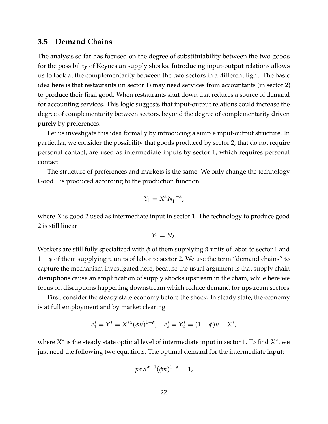#### **3.5 Demand Chains**

The analysis so far has focused on the degree of substitutability between the two goods for the possibility of Keynesian supply shocks. Introducing input-output relations allows us to look at the complementarity between the two sectors in a different light. The basic idea here is that restaurants (in sector 1) may need services from accountants (in sector 2) to produce their final good. When restaurants shut down that reduces a source of demand for accounting services. This logic suggests that input-output relations could increase the degree of complementarity between sectors, beyond the degree of complementarity driven purely by preferences.

Let us investigate this idea formally by introducing a simple input-output structure. In particular, we consider the possibility that goods produced by sector 2, that do not require personal contact, are used as intermediate inputs by sector 1, which requires personal contact.

The structure of preferences and markets is the same. We only change the technology. Good 1 is produced according to the production function

$$
Y_1 = X^{\alpha} N_1^{1-\alpha},
$$

where *X* is good 2 used as intermediate input in sector 1. The technology to produce good 2 is still linear

$$
Y_2=N_2.
$$

Workers are still fully specialized with *φ* of them supplying *π* units of labor to sector 1 and  $1 - \phi$  of them supplying  $\bar{n}$  units of labor to sector 2. We use the term "demand chains" to capture the mechanism investigated here, because the usual argument is that supply chain disruptions cause an amplification of supply shocks upstream in the chain, while here we focus on disruptions happening downstream which reduce demand for upstream sectors.

First, consider the steady state economy before the shock. In steady state, the economy is at full employment and by market clearing

$$
c_1^* = Y_1^* = X^{*\alpha}(\phi \overline{n})^{1-\alpha}, \quad c_2^* = Y_2^* = (1-\phi)\overline{n} - X^*,
$$

where  $X^*$  is the steady state optimal level of intermediate input in sector 1. To find  $X^*$ , we just need the following two equations. The optimal demand for the intermediate input:

$$
p\alpha X^{\alpha-1}(\phi\overline{n})^{1-\alpha}=1,
$$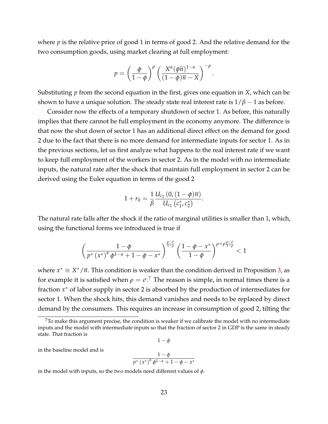where *p* is the relative price of good 1 in terms of good 2. And the relative demand for the two consumption goods, using market clearing at full employment:

$$
p = \left(\frac{\phi}{1-\phi}\right)^{\rho} \left(\frac{X^{\alpha}(\phi\overline{n})^{1-\alpha}}{(1-\phi)\overline{n}-X}\right)^{-\rho}.
$$

Substituting *p* from the second equation in the first, gives one equation in *X*, which can be shown to have a unique solution. The steady state real interest rate is  $1/\beta - 1$  as before.

Consider now the effects of a temporary shutdown of sector 1. As before, this naturally implies that there cannot be full employment in the economy anymore. The difference is that now the shut down of sector 1 has an additional direct effect on the demand for good 2 due to the fact that there is no more demand for intermediate inputs for sector 1. As in the previous sections, let us first analyze what happens to the real interest rate if we want to keep full employment of the workers in sector 2. As in the model with no intermediate inputs, the natural rate after the shock that maintain full employment in sector 2 can be derived using the Euler equation in terms of the good 2

$$
1 + r_0 = \frac{1}{\beta} \frac{U_{c_2}(0, (1 - \phi)\overline{n})}{U_{c_2}(c_1^*, c_2^*)}.
$$

The natural rate falls after the shock if the ratio of marginal utilities is smaller than 1, which, using the functional forms we introduced is true if

$$
\left(\frac{1-\phi}{p^*\left(x^*\right)^\alpha\phi^{1-\alpha}+1-\phi-x^*}\right)^{\frac{\rho-\sigma}{1-\rho}}\left(\frac{1-\phi-x^*}{1-\phi}\right)^{\rho+\rho\frac{\rho-\sigma}{1-\rho}}<1
$$

where  $x^* \equiv X^* / \overline{n}$ . This condition is weaker than the condition derived in Proposition [3,](#page-13-2) as for example it is satisfied when  $\rho = \sigma$ .<sup>[7](#page-0-0)</sup> The reason is simple, in normal times there is a fraction *x*<sup>∗</sup> of labor supply in sector 2 is absorbed by the production of intermediates for sector 1. When the shock hits, this demand vanishes and needs to be replaced by direct demand by the consumers. This requires an increase in consumption of good 2, tilting the

```
1 - \phi
```
in the baseline model and is

$$
\frac{1-\phi}{p^*\left(x^*\right)^{\alpha}\phi^{1-\alpha}+1-\phi-x^*}
$$

in the model with inputs, so the two models need different values of *φ*.

 $7$ To make this argument precise, the condition is weaker if we calibrate the model with no intermediate inputs and the model with intermediate inputs so that the fraction of sector 2 in GDP is the same in steady state. That fraction is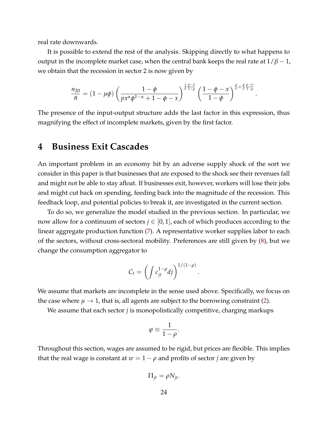real rate downwards.

It is possible to extend the rest of the analysis. Skipping directly to what happens to output in the incomplete market case, when the central bank keeps the real rate at  $1/\beta - 1$ , we obtain that the recession in sector 2 is now given by

$$
\frac{n_{20}}{\bar{n}} = (1 - \mu\phi) \left( \frac{1 - \phi}{p x^{\alpha} \phi^{1 - \alpha} + 1 - \phi - x} \right)^{\frac{1}{\sigma} \frac{\rho - \sigma}{1 - \rho}} \left( \frac{1 - \phi - x}{1 - \phi} \right)^{\frac{\rho}{\sigma} + \frac{\rho}{\sigma} \frac{\rho - \sigma}{1 - \rho}}
$$

.

The presence of the input-output structure adds the last factor in this expression, thus magnifying the effect of incomplete markets, given by the first factor.

## **4 Business Exit Cascades**

An important problem in an economy hit by an adverse supply shock of the sort we consider in this paper is that businesses that are exposed to the shock see their revenues fall and might not be able to stay afloat. If businesses exit, however, workers will lose their jobs and might cut back on spending, feeding back into the magnitude of the recession. This feedback loop, and potential policies to break it, are investigated in the current section.

To do so, we generalize the model studied in the previous section. In particular, we now allow for a continuum of sectors  $j \in [0,1]$ , each of which produces according to the linear aggregate production function [\(7\)](#page-11-0). A representative worker supplies labor to each of the sectors, without cross-sectoral mobility. Preferences are still given by [\(8\)](#page-11-1), but we change the consumption aggregator to

$$
C_t = \left(\int c_{jt}^{1-\rho} dj\right)^{1/(1-\rho)}
$$

.

We assume that markets are incomplete in the sense used above. Specifically, we focus on the case where  $\mu \to 1$ , that is, all agents are subject to the borrowing constraint [\(2\)](#page-8-1).

We assume that each sector *j* is monopolistically competitive, charging markups

$$
\varphi\equiv\frac{1}{1-\rho}.
$$

Throughout this section, wages are assumed to be rigid, but prices are flexible. This implies that the real wage is constant at  $w = 1 - \rho$  and profits of sector *j* are given by

$$
\Pi_{jt} = \rho N_{jt}.
$$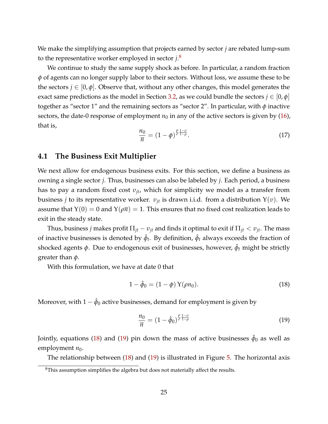We make the simplifying assumption that projects earned by sector *j* are rebated lump-sum to the representative worker employed in sector *j*. [8](#page-0-0)

We continue to study the same supply shock as before. In particular, a random fraction *φ* of agents can no longer supply labor to their sectors. Without loss, we assume these to be the sectors  $j \in [0, \phi]$ . Observe that, without any other changes, this model generates the exact same predictions as the model in Section [3.2,](#page-15-1) as we could bundle the sectors  $j \in [0, \phi]$ together as "sector 1" and the remaining sectors as "sector 2". In particular, with *φ* inactive sectors, the date-0 response of employment  $n_0$  in any of the active sectors is given by [\(16\)](#page-17-1), that is,

$$
\frac{n_0}{\overline{n}} = (1 - \phi)^{\frac{\rho}{\sigma}} \frac{1 - \sigma}{1 - \rho}.
$$
\n(17)

#### **4.1 The Business Exit Multiplier**

We next allow for endogenous business exits. For this section, we define a business as owning a single sector *j*. Thus, businesses can also be labeled by *j*. Each period, a business has to pay a random fixed cost *υjt*, which for simplicity we model as a transfer from business *j* to its representative worker.  $v_{it}$  is drawn i.i.d. from a distribution  $Y(v)$ . We assume that  $Y(0) = 0$  and  $Y(\rho \overline{n}) = 1$ . This ensures that no fixed cost realization leads to exit in the steady state.

Thus, business *j* makes profit  $\Pi_{it} - v_{it}$  and finds it optimal to exit if  $\Pi_{it} < v_{it}$ . The mass of inactive businesses is denoted by  $\hat{\phi}_t$ . By definition,  $\hat{\phi}_t$  always exceeds the fraction of shocked agents φ. Due to endogenous exit of businesses, however,  $\hat{\phi}_t$  might be strictly greater than *φ*.

With this formulation, we have at date 0 that

<span id="page-24-0"></span>
$$
1 - \hat{\phi}_0 = (1 - \phi) Y(\rho n_0).
$$
 (18)

Moreover, with  $1-\hat{\phi}_0$  active businesses, demand for employment is given by

<span id="page-24-1"></span>
$$
\frac{n_0}{\overline{n}} = (1 - \hat{\phi}_0)^{\frac{\rho}{\sigma} \frac{1 - \sigma}{1 - \rho}}
$$
\n(19)

Jointly, equations [\(18\)](#page-24-0) and [\(19\)](#page-24-1) pin down the mass of active businesses  $\hat{\phi}_0$  as well as employment  $n_0$ .

The relationship between [\(18\)](#page-24-0) and [\(19\)](#page-24-1) is illustrated in Figure [5.](#page-25-0) The horizontal axis

<sup>8</sup>This assumption simplifies the algebra but does not materially affect the results.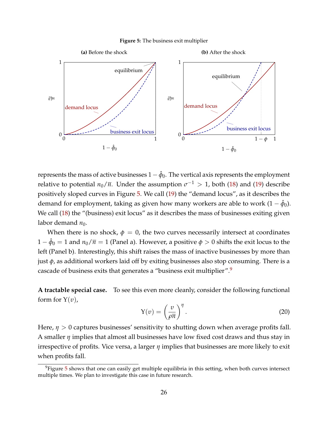#### **Figure 5:** The business exit multiplier

<span id="page-25-0"></span>

represents the mass of active businesses  $1-\hat{\phi}_0$ . The vertical axis represents the employment relative to potential  $n_0/\overline{n}$ . Under the assumption  $\sigma^{-1} > 1$ , both [\(18\)](#page-24-0) and [\(19\)](#page-24-1) describe positively sloped curves in Figure [5.](#page-25-0) We call [\(19\)](#page-24-1) the "demand locus", as it describes the demand for employment, taking as given how many workers are able to work  $(1 - \hat \phi_0)$ . We call  $(18)$  the "(business) exit locus" as it describes the mass of businesses exiting given labor demand  $n_0$ .

When there is no shock,  $\phi = 0$ , the two curves necessarily intersect at coordinates  $1-\hat{\phi}_0=1$  and  $n_0/\overline{n}=1$  (Panel a). However, a positive  $\phi>0$  shifts the exit locus to the left (Panel b). Interestingly, this shift raises the mass of inactive businesses by more than just *φ*, as additional workers laid off by exiting businesses also stop consuming. There is a cascade of business exits that generates a "business exit multiplier".[9](#page-0-0)

**A tractable special case.** To see this even more cleanly, consider the following functional form for  $Y(v)$ ,

<span id="page-25-1"></span>
$$
Y(v) = \left(\frac{v}{\rho \overline{n}}\right)^{\eta}.
$$
 (20)

Here, *η* > 0 captures businesses' sensitivity to shutting down when average profits fall. A smaller *η* implies that almost all businesses have low fixed cost draws and thus stay in irrespective of profits. Vice versa, a larger *η* implies that businesses are more likely to exit when profits fall.

<sup>9</sup>Figure [5](#page-25-0) shows that one can easily get multiple equilibria in this setting, when both curves intersect multiple times. We plan to investigate this case in future research.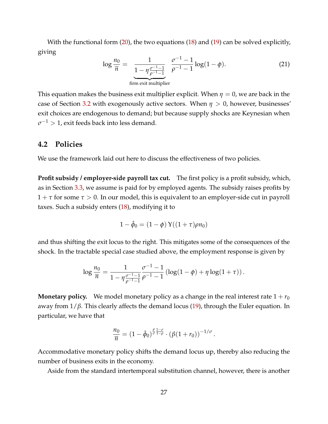With the functional form [\(20\)](#page-25-1), the two equations [\(18\)](#page-24-0) and [\(19\)](#page-24-1) can be solved explicitly, giving

$$
\log \frac{n_0}{\overline{n}} = \frac{1}{\underbrace{1 - \eta \frac{\sigma^{-1} - 1}{\rho^{-1} - 1}}_{\text{firm exit multiplier}}} \frac{\sigma^{-1} - 1}{\rho^{-1} - 1} \log(1 - \phi). \tag{21}
$$

This equation makes the business exit multiplier explicit. When  $\eta = 0$ , we are back in the case of Section [3.2](#page-15-1) with exogenously active sectors. When *η* > 0, however, businesses' exit choices are endogenous to demand; but because supply shocks are Keynesian when  $\sigma^{-1} > 1$ , exit feeds back into less demand.

#### **4.2 Policies**

We use the framework laid out here to discuss the effectiveness of two policies.

**Profit subsidy / employer-side payroll tax cut.** The first policy is a profit subsidy, which, as in Section [3.3,](#page-18-1) we assume is paid for by employed agents. The subsidy raises profits by 1 + *τ* for some *τ* > 0. In our model, this is equivalent to an employer-side cut in payroll taxes. Such a subsidy enters [\(18\)](#page-24-0), modifying it to

$$
1 - \hat{\phi}_0 = (1 - \phi) \,\mathrm{Y}((1 + \tau)\rho n_0)
$$

and thus shifting the exit locus to the right. This mitigates some of the consequences of the shock. In the tractable special case studied above, the employment response is given by

$$
\log \frac{n_0}{\overline{n}} = \frac{1}{1 - \eta \frac{\sigma^{-1} - 1}{\rho^{-1} - 1}} \frac{\sigma^{-1} - 1}{\rho^{-1} - 1} \left( \log(1 - \phi) + \eta \log(1 + \tau) \right).
$$

**Monetary policy.** We model monetary policy as a change in the real interest rate  $1 + r_0$ away from 1/*β*. This clearly affects the demand locus [\(19\)](#page-24-1), through the Euler equation. In particular, we have that

$$
\frac{n_0}{\overline{n}} = (1-\hat{\phi}_0)^{\frac{\rho}{\sigma}\frac{1-\sigma}{1-\rho}} \cdot (\beta(1+r_0))^{-1/\sigma}.
$$

Accommodative monetary policy shifts the demand locus up, thereby also reducing the number of business exits in the economy.

Aside from the standard intertemporal substitution channel, however, there is another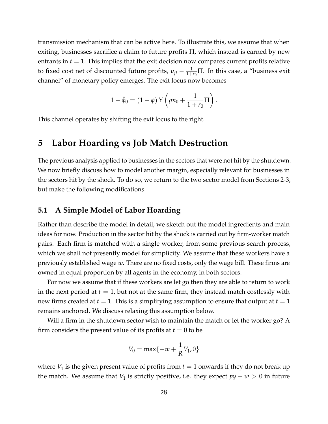transmission mechanism that can be active here. To illustrate this, we assume that when exiting, businesses sacrifice a claim to future profits  $\Pi$ , which instead is earned by new entrants in  $t = 1$ . This implies that the exit decision now compares current profits relative to fixed cost net of discounted future profits,  $v_{jt} - \frac{1}{1+r_0}\Pi$ . In this case, a "business exit channel" of monetary policy emerges. The exit locus now becomes

$$
1-\hat{\phi}_0 = (1-\phi) \,\mathrm{Y}\left(\rho n_0 + \frac{1}{1+r_0}\Pi\right).
$$

This channel operates by shifting the exit locus to the right.

## **5 Labor Hoarding vs Job Match Destruction**

The previous analysis applied to businesses in the sectors that were not hit by the shutdown. We now briefly discuss how to model another margin, especially relevant for businesses in the sectors hit by the shock. To do so, we return to the two sector model from Sections 2-3, but make the following modifications.

### **5.1 A Simple Model of Labor Hoarding**

Rather than describe the model in detail, we sketch out the model ingredients and main ideas for now. Production in the sector hit by the shock is carried out by firm-worker match pairs. Each firm is matched with a single worker, from some previous search process, which we shall not presently model for simplicity. We assume that these workers have a previously established wage *w*. There are no fixed costs, only the wage bill. These firms are owned in equal proportion by all agents in the economy, in both sectors.

For now we assume that if these workers are let go then they are able to return to work in the next period at  $t = 1$ , but not at the same firm, they instead match costlessly with new firms created at  $t = 1$ . This is a simplifying assumption to ensure that output at  $t = 1$ remains anchored. We discuss relaxing this assumption below.

Will a firm in the shutdown sector wish to maintain the match or let the worker go? A firm considers the present value of its profits at  $t = 0$  to be

$$
V_0 = \max\{-w + \frac{1}{R}V_1, 0\}
$$

where  $V_1$  is the given present value of profits from  $t = 1$  onwards if they do not break up the match. We assume that *V*<sub>1</sub> is strictly positive, i.e. they expect  $py - w > 0$  in future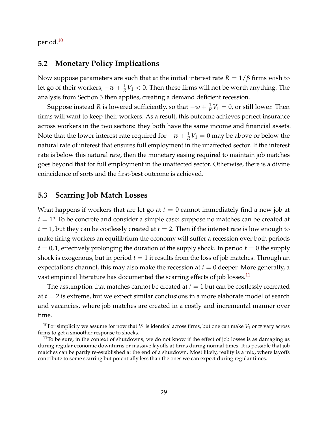period.[10](#page-0-0)

#### **5.2 Monetary Policy Implications**

Now suppose parameters are such that at the initial interest rate  $R = 1/\beta$  firms wish to let go of their workers, −*w* + <sup>1</sup> *<sup>R</sup>V*<sup>1</sup> < 0. Then these firms will not be worth anything. The analysis from Section 3 then applies, creating a demand deficient recession.

Suppose instead *R* is lowered sufficiently, so that  $-w + \frac{1}{R}V_1 = 0$ , or still lower. Then firms will want to keep their workers. As a result, this outcome achieves perfect insurance across workers in the two sectors: they both have the same income and financial assets. Note that the lower interest rate required for  $-w + \frac{1}{R}V_1 = 0$  may be above or below the natural rate of interest that ensures full employment in the unaffected sector. If the interest rate is below this natural rate, then the monetary easing required to maintain job matches goes beyond that for full employment in the unaffected sector. Otherwise, there is a divine coincidence of sorts and the first-best outcome is achieved.

### **5.3 Scarring Job Match Losses**

What happens if workers that are let go at  $t = 0$  cannot immediately find a new job at *t* = 1? To be concrete and consider a simple case: suppose no matches can be created at  $t = 1$ , but they can be costlessly created at  $t = 2$ . Then if the interest rate is low enough to make firing workers an equilibrium the economy will suffer a recession over both periods  $t = 0, 1$ , effectively prolonging the duration of the supply shock. In period  $t = 0$  the supply shock is exogenous, but in period  $t = 1$  it results from the loss of job matches. Through an expectations channel, this may also make the recession at  $t = 0$  deeper. More generally, a vast empirical literature has documented the scarring effects of job losses.<sup>[11](#page-0-0)</sup>

The assumption that matches cannot be created at  $t = 1$  but can be costlessly recreated at *t* = 2 is extreme, but we expect similar conclusions in a more elaborate model of search and vacancies, where job matches are created in a costly and incremental manner over time.

<sup>&</sup>lt;sup>10</sup>For simplicity we assume for now that  $V_1$  is identical across firms, but one can make  $V_1$  or  $w$  vary across firms to get a smoother response to shocks.

 $11$ To be sure, in the context of shutdowns, we do not know if the effect of job losses is as damaging as during regular economic downturns or massive layoffs at firms during normal times. It is possible that job matches can be partly re-established at the end of a shutdown. Most likely, reality is a mix, where layoffs contribute to some scarring but potentially less than the ones we can expect during regular times.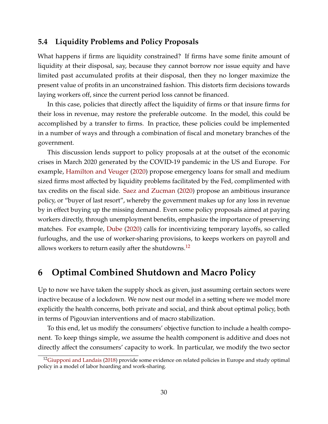#### **5.4 Liquidity Problems and Policy Proposals**

What happens if firms are liquidity constrained? If firms have some finite amount of liquidity at their disposal, say, because they cannot borrow nor issue equity and have limited past accumulated profits at their disposal, then they no longer maximize the present value of profits in an unconstrained fashion. This distorts firm decisions towards laying workers off, since the current period loss cannot be financed.

In this case, policies that directly affect the liquidity of firms or that insure firms for their loss in revenue, may restore the preferable outcome. In the model, this could be accomplished by a transfer to firms. In practice, these policies could be implemented in a number of ways and through a combination of fiscal and monetary branches of the government.

This discussion lends support to policy proposals at at the outset of the economic crises in March 2020 generated by the COVID-19 pandemic in the US and Europe. For example, [Hamilton and Veuger](#page-35-6) [\(2020\)](#page-35-6) propose emergency loans for small and medium sized firms most affected by liquidity problems facilitated by the Fed, complimented with tax credits on the fiscal side. [Saez and Zucman](#page-35-7) [\(2020\)](#page-35-7) propose an ambitious insurance policy, or "buyer of last resort", whereby the government makes up for any loss in revenue by in effect buying up the missing demand. Even some policy proposals aimed at paying workers directly, through unemployment benefits, emphasize the importance of preserving matches. For example, [Dube](#page-34-11) [\(2020\)](#page-34-11) calls for incentivizing temporary layoffs, so called furloughs, and the use of worker-sharing provisions, to keeps workers on payroll and allows workers to return easily after the shutdowns.<sup>[12](#page-0-0)</sup>

## <span id="page-29-0"></span>**6 Optimal Combined Shutdown and Macro Policy**

Up to now we have taken the supply shock as given, just assuming certain sectors were inactive because of a lockdown. We now nest our model in a setting where we model more explicitly the health concerns, both private and social, and think about optimal policy, both in terms of Pigouvian interventions and of macro stabilization.

To this end, let us modify the consumers' objective function to include a health component. To keep things simple, we assume the health component is additive and does not directly affect the consumers' capacity to work. In particular, we modify the two sector

<sup>&</sup>lt;sup>12</sup>[Giupponi and Landais](#page-35-8) [\(2018\)](#page-35-8) provide some evidence on related policies in Europe and study optimal policy in a model of labor hoarding and work-sharing.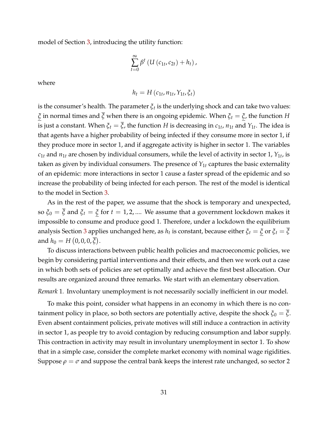model of Section [3,](#page-10-0) introducing the utility function:

$$
\sum_{t=0}^{\infty} \beta^t \left( U\left(c_{1t}, c_{2t}\right) + h_t \right),\,
$$

where

$$
h_t = H(c_{1t}, n_{1t}, Y_{1t}, \xi_t)
$$

is the consumer's health. The parameter  $\xi_t$  is the underlying shock and can take two values: *ξ* in normal times and *ξ* when there is an ongoing epidemic. When *ξ<sup>t</sup>* = *ξ*, the function *H* is just a constant. When  $\xi_t = \xi$ , the function  $H$  is decreasing in  $c_{1t}$ ,  $n_{1t}$  and  $Y_{1t}$ . The idea is that agents have a higher probability of being infected if they consume more in sector 1, if they produce more in sector 1, and if aggregate activity is higher in sector 1. The variables  $c_{1t}$  and  $n_{1t}$  are chosen by individual consumers, while the level of activity in sector 1,  $Y_{1t}$ , is taken as given by individual consumers. The presence of *Y*1*<sup>t</sup>* captures the basic externality of an epidemic: more interactions in sector 1 cause a faster spread of the epidemic and so increase the probability of being infected for each person. The rest of the model is identical to the model in Section [3.](#page-10-0)

As in the rest of the paper, we assume that the shock is temporary and unexpected, so  $\xi_0 = \overline{\xi}$  and  $\xi_t = \xi$  for  $t = 1, 2, ...$  We assume that a government lockdown makes it impossible to consume and produce good 1. Therefore, under a lockdown the equilibrium analysis Section [3](#page-10-0) applies unchanged here, as  $h_t$  is constant, because either  $\xi_t = \xi$  or  $\xi_t = \xi$ and  $h_0 = H(0, 0, 0, \overline{\xi}).$ 

To discuss interactions between public health policies and macroeconomic policies, we begin by considering partial interventions and their effects, and then we work out a case in which both sets of policies are set optimally and achieve the first best allocation. Our results are organized around three remarks. We start with an elementary observation.

*Remark* 1*.* Involuntary unemployment is not necessarily socially inefficient in our model.

To make this point, consider what happens in an economy in which there is no containment policy in place, so both sectors are potentially active, despite the shock  $\xi_0 = \xi$ . Even absent containment policies, private motives will still induce a contraction in activity in sector 1, as people try to avoid contagion by reducing consumption and labor supply. This contraction in activity may result in involuntary unemployment in sector 1. To show that in a simple case, consider the complete market economy with nominal wage rigidities. Suppose  $\rho = \sigma$  and suppose the central bank keeps the interest rate unchanged, so sector 2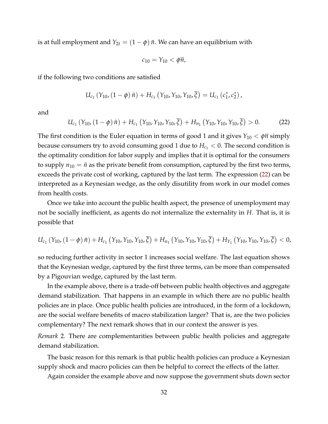is at full employment and  $Y_{2t} = (1 - \phi) \bar{n}$ . We can have an equilibrium with

$$
c_{10}=Y_{10}<\phi\overline{n},
$$

if the following two conditions are satisfied

$$
U_{c_1}(Y_{10}, (1-\phi)\bar{n}) + H_{c_1}(Y_{10}, Y_{10}, Y_{10}, \bar{\xi}) = U_{c_1}(c_1^*, c_2^*),
$$

and

<span id="page-31-0"></span>
$$
U_{c_1}(Y_{10}, (1-\phi)\bar{n}) + H_{c_1}(Y_{10}, Y_{10}, Y_{10}, \bar{\xi}) + H_{n_1}(Y_{10}, Y_{10}, Y_{10}, \bar{\xi}) > 0.
$$
 (22)

The first condition is the Euler equation in terms of good 1 and it gives  $Y_{10} < \phi \bar{n}$  simply because consumers try to avoid consuming good 1 due to  $H_{c_1}$   $<$  0. The second condition is the optimality condition for labor supply and implies that it is optimal for the consumers to supply  $n_{10} = \bar{n}$  as the private benefit from consumption, captured by the first two terms, exceeds the private cost of working, captured by the last term. The expression [\(22\)](#page-31-0) can be interpreted as a Keynesian wedge, as the only disutility from work in our model comes from health costs.

Once we take into account the public health aspect, the presence of unemployment may not be socially inefficient, as agents do not internalize the externality in *H*. That is, it is possible that

$$
U_{c_1}(Y_{10}, (1-\phi)\bar{n}) + H_{c_1}(Y_{10}, Y_{10}, Y_{10}, \bar{\xi}) + H_{n_1}(Y_{10}, Y_{10}, Y_{10}, \bar{\xi}) + H_{Y_1}(Y_{10}, Y_{10}, Y_{10}, \bar{\xi}) < 0,
$$

so reducing further activity in sector 1 increases social welfare. The last equation shows that the Keynesian wedge, captured by the first three terms, can be more than compensated by a Pigouvian wedge, captured by the last term.

In the example above, there is a trade-off between public health objectives and aggregate demand stabilization. That happens in an example in which there are no public health policies are in place. Once public health policies are introduced, in the form of a lockdown, are the social welfare benefits of macro stabilization larger? That is, are the two policies complementary? The next remark shows that in our context the answer is yes.

*Remark* 2*.* There are complementarities between public health policies and aggregate demand stabilization.

The basic reason for this remark is that public health policies can produce a Keynesian supply shock and macro policies can then be helpful to correct the effects of the latter.

Again consider the example above and now suppose the government shuts down sector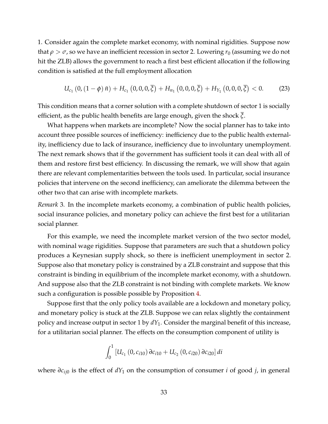1. Consider again the complete market economy, with nominal rigidities. Suppose now that  $\rho > \sigma$ , so we have an inefficient recession in sector 2. Lowering  $r_0$  (assuming we do not hit the ZLB) allows the government to reach a first best efficient allocation if the following condition is satisfied at the full employment allocation

<span id="page-32-0"></span>
$$
U_{c_1}(0,(1-\phi)\bar{n}) + H_{c_1}(0,0,0,\bar{\xi}) + H_{n_1}(0,0,0,\bar{\xi}) + H_{Y_1}(0,0,0,\bar{\xi}) < 0.
$$
 (23)

This condition means that a corner solution with a complete shutdown of sector 1 is socially efficient, as the public health benefits are large enough, given the shock *ξ*.

What happens when markets are incomplete? Now the social planner has to take into account three possible sources of inefficiency: inefficiency due to the public health externality, inefficiency due to lack of insurance, inefficiency due to involuntary unemployment. The next remark shows that if the government has sufficient tools it can deal with all of them and restore first best efficiency. In discussing the remark, we will show that again there are relevant complementarities between the tools used. In particular, social insurance policies that intervene on the second inefficiency, can ameliorate the dilemma between the other two that can arise with incomplete markets.

*Remark* 3*.* In the incomplete markets economy, a combination of public health policies, social insurance policies, and monetary policy can achieve the first best for a utilitarian social planner.

For this example, we need the incomplete market version of the two sector model, with nominal wage rigidities. Suppose that parameters are such that a shutdown policy produces a Keynesian supply shock, so there is inefficient unemployment in sector 2. Suppose also that monetary policy is constrained by a ZLB constraint and suppose that this constraint is binding in equilibrium of the incomplete market economy, with a shutdown. And suppose also that the ZLB constraint is not binding with complete markets. We know such a configuration is possible possible by Proposition [4.](#page-16-0)

Suppose first that the only policy tools available are a lockdown and monetary policy, and monetary policy is stuck at the ZLB. Suppose we can relax slightly the containment policy and increase output in sector 1 by *dY*1. Consider the marginal benefit of this increase, for a utilitarian social planner. The effects on the consumption component of utility is

$$
\int_0^1 \left[ U_{c_1} (0, c_{i10}) \partial c_{i10} + U_{c_2} (0, c_{i20}) \partial c_{i20} \right] di
$$

where *∂cij*<sup>0</sup> is the effect of *dY*<sup>1</sup> on the consumption of consumer *i* of good *j*, in general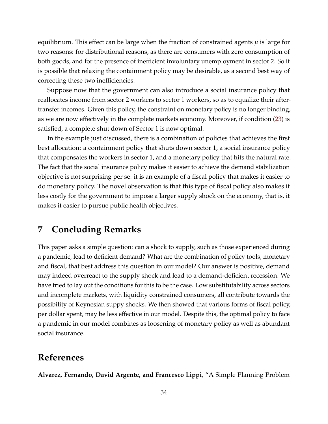equilibrium. This effect can be large when the fraction of constrained agents *µ* is large for two reasons: for distributional reasons, as there are consumers with zero consumption of both goods, and for the presence of inefficient involuntary unemployment in sector 2. So it is possible that relaxing the containment policy may be desirable, as a second best way of correcting these two inefficiencies.

Suppose now that the government can also introduce a social insurance policy that reallocates income from sector 2 workers to sector 1 workers, so as to equalize their aftertransfer incomes. Given this policy, the constraint on monetary policy is no longer binding, as we are now effectively in the complete markets economy. Moreover, if condition [\(23\)](#page-32-0) is satisfied, a complete shut down of Sector 1 is now optimal.

In the example just discussed, there is a combination of policies that achieves the first best allocation: a containment policy that shuts down sector 1, a social insurance policy that compensates the workers in sector 1, and a monetary policy that hits the natural rate. The fact that the social insurance policy makes it easier to achieve the demand stabilization objective is not surprising per se: it is an example of a fiscal policy that makes it easier to do monetary policy. The novel observation is that this type of fiscal policy also makes it less costly for the government to impose a larger supply shock on the economy, that is, it makes it easier to pursue public health objectives.

# **7 Concluding Remarks**

This paper asks a simple question: can a shock to supply, such as those experienced during a pandemic, lead to deficient demand? What are the combination of policy tools, monetary and fiscal, that best address this question in our model? Our answer is positive, demand may indeed overreact to the supply shock and lead to a demand-deficient recession. We have tried to lay out the conditions for this to be the case. Low substitutability across sectors and incomplete markets, with liquidity constrained consumers, all contribute towards the possibility of Keynesian suppy shocks. We then showed that various forms of fiscal policy, per dollar spent, may be less effective in our model. Despite this, the optimal policy to face a pandemic in our model combines as loosening of monetary policy as well as abundant social insurance.

## **References**

<span id="page-33-0"></span>**Alvarez, Fernando, David Argente, and Francesco Lippi**, "A Simple Planning Problem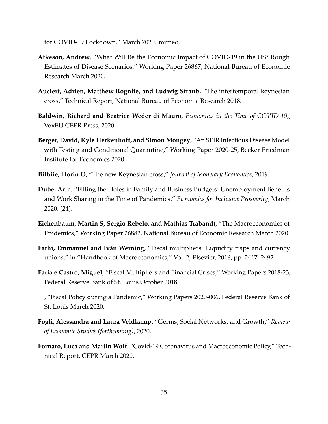for COVID-19 Lockdown," March 2020. mimeo.

- <span id="page-34-4"></span>**Atkeson, Andrew**, "What Will Be the Economic Impact of COVID-19 in the US? Rough Estimates of Disease Scenarios," Working Paper 26867, National Bureau of Economic Research March 2020.
- <span id="page-34-9"></span>**Auclert, Adrien, Matthew Rognlie, and Ludwig Straub**, "The intertemporal keynesian cross," Technical Report, National Bureau of Economic Research 2018.
- <span id="page-34-0"></span>**Baldwin, Richard and Beatrice Weder di Mauro**, *Economics in the Time of COVID-19,*, VoxEU CEPR Press, 2020.
- <span id="page-34-5"></span>**Berger, David, Kyle Herkenhoff, and Simon Mongey**, "An SEIR Infectious Disease Model with Testing and Conditional Quarantine," Working Paper 2020-25, Becker Friedman Institute for Economics 2020.
- <span id="page-34-10"></span>**Bilbiie, Florin O**, "The new Keynesian cross," *Journal of Monetary Economics*, 2019.
- <span id="page-34-11"></span>**Dube, Arin**, "Filling the Holes in Family and Business Budgets: Unemployment Benefits and Work Sharing in the Time of Pandemics," *Economics for Inclusive Prosperity*, March 2020, (24).
- <span id="page-34-6"></span>**Eichenbaum, Martin S, Sergio Rebelo, and Mathias Trabandt**, "The Macroeconomics of Epidemics," Working Paper 26882, National Bureau of Economic Research March 2020.
- <span id="page-34-8"></span>**Farhi, Emmanuel and Iván Werning**, "Fiscal multipliers: Liquidity traps and currency unions," in "Handbook of Macroeconomics," Vol. 2, Elsevier, 2016, pp. 2417–2492.
- <span id="page-34-3"></span>**Faria e Castro, Miguel**, "Fiscal Multipliers and Financial Crises," Working Papers 2018-23, Federal Reserve Bank of St. Louis October 2018.
- <span id="page-34-2"></span>, "Fiscal Policy during a Pandemic," Working Papers 2020-006, Federal Reserve Bank of St. Louis March 2020.
- <span id="page-34-7"></span>**Fogli, Alessandra and Laura Veldkamp**, "Germs, Social Networks, and Growth," *Review of Economic Studies (forthcoming)*, 2020.
- <span id="page-34-1"></span>**Fornaro, Luca and Martin Wolf**, "Covid-19 Coronavirus and Macroeconomic Policy," Technical Report, CEPR March 2020.